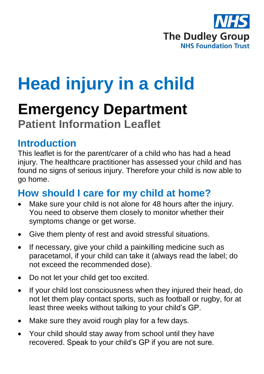

# **Head injury in a child**

# **Emergency Department Patient Information Leaflet**

#### **Introduction**

This leaflet is for the parent/carer of a child who has had a head injury. The healthcare practitioner has assessed your child and has found no signs of serious injury. Therefore your child is now able to go home.

## **How should I care for my child at home?**

- Make sure your child is not alone for 48 hours after the injury. You need to observe them closely to monitor whether their symptoms change or get worse.
- Give them plenty of rest and avoid stressful situations.
- If necessary, give your child a painkilling medicine such as paracetamol, if your child can take it (always read the label; do not exceed the recommended dose).
- Do not let your child get too excited.
- If your child lost consciousness when they injured their head, do not let them play contact sports, such as football or rugby, for at least three weeks without talking to your child's GP.
- Make sure they avoid rough play for a few days.
- Your child should stay away from school until they have recovered. Speak to your child's GP if you are not sure.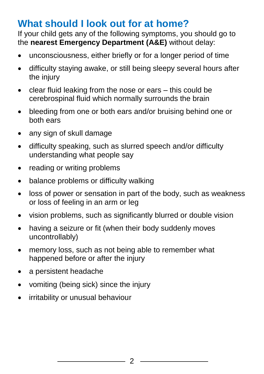## **What should I look out for at home?**

If your child gets any of the following symptoms, you should go to the **nearest Emergency Department (A&E)** without delay:

- unconsciousness, either briefly or for a longer period of time
- difficulty staying awake, or still being sleepy several hours after the injury
- clear fluid leaking from the nose or ears this could be cerebrospinal fluid which normally surrounds the brain
- bleeding from one or both ears and/or bruising behind one or both ears
- any sign of skull damage
- difficulty speaking, such as slurred speech and/or difficulty understanding what people say
- reading or writing problems
- balance problems or difficulty walking
- loss of power or sensation in part of the body, such as weakness or loss of feeling in an arm or leg
- vision problems, such as significantly blurred or double vision
- having a seizure or fit (when their body suddenly moves uncontrollably)
- memory loss, such as not being able to remember what happened before or after the injury
- a persistent headache
- vomiting (being sick) since the injury
- irritability or unusual behaviour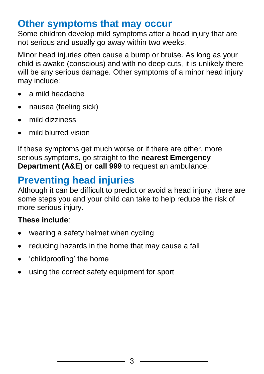## **Other symptoms that may occur**

Some children develop mild symptoms after a head injury that are not serious and usually go away within two weeks.

Minor head injuries often cause a bump or bruise. As long as your child is awake (conscious) and with no deep cuts, it is unlikely there will be any serious damage. Other symptoms of a minor head injury may include:

- a mild headache
- nausea (feeling sick)
- mild dizziness
- mild blurred vision

If these symptoms get much worse or if there are other, more serious symptoms, go straight to the **nearest Emergency Department (A&E) or call 999** to request an ambulance.

# **Preventing head injuries**

Although it can be difficult to predict or avoid a head injury, there are some steps you and your child can take to help reduce the risk of more serious injury.

#### **These include**:

- wearing a safety helmet when cycling
- reducing hazards in the home that may cause a fall
- 'childproofing' the home
- using the correct safety equipment for sport